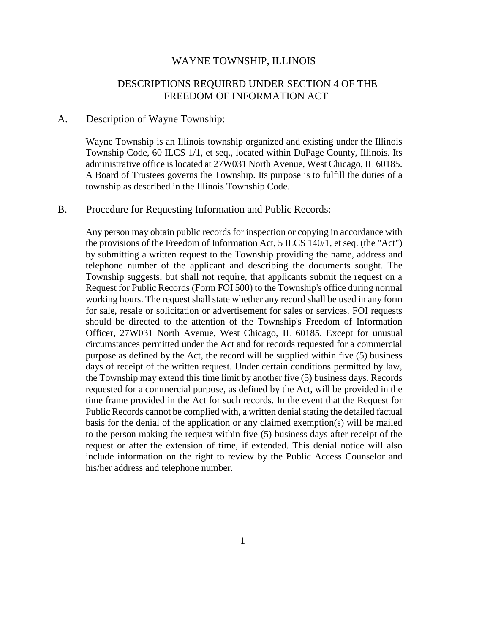## WAYNE TOWNSHIP, ILLINOIS

## DESCRIPTIONS REQUIRED UNDER SECTION 4 OF THE FREEDOM OF INFORMATION ACT

## A. Description of Wayne Township:

Wayne Township is an Illinois township organized and existing under the Illinois Township Code, 60 ILCS 1/1, et seq., located within DuPage County, Illinois. Its administrative office is located at 27W031 North Avenue, West Chicago, IL 60185. A Board of Trustees governs the Township. Its purpose is to fulfill the duties of a township as described in the Illinois Township Code.

## B. Procedure for Requesting Information and Public Records:

Any person may obtain public records for inspection or copying in accordance with the provisions of the Freedom of Information Act, 5 ILCS 140/1, et seq. (the "Act") by submitting a written request to the Township providing the name, address and telephone number of the applicant and describing the documents sought. The Township suggests, but shall not require, that applicants submit the request on a Request for Public Records (Form FOI 500) to the Township's office during normal working hours. The request shall state whether any record shall be used in any form for sale, resale or solicitation or advertisement for sales or services. FOI requests should be directed to the attention of the Township's Freedom of Information Officer, 27W031 North Avenue, West Chicago, IL 60185. Except for unusual circumstances permitted under the Act and for records requested for a commercial purpose as defined by the Act, the record will be supplied within five (5) business days of receipt of the written request. Under certain conditions permitted by law, the Township may extend this time limit by another five (5) business days. Records requested for a commercial purpose, as defined by the Act, will be provided in the time frame provided in the Act for such records. In the event that the Request for Public Records cannot be complied with, a written denial stating the detailed factual basis for the denial of the application or any claimed exemption(s) will be mailed to the person making the request within five (5) business days after receipt of the request or after the extension of time, if extended. This denial notice will also include information on the right to review by the Public Access Counselor and his/her address and telephone number.